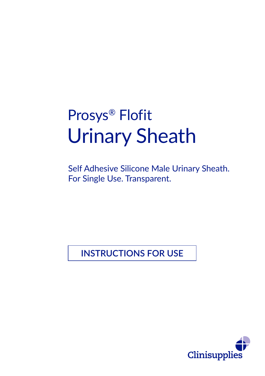# Prosys® Flofit Urinary Sheath

Self Adhesive Silicone Male Urinary Sheath. For Single Use. Transparent.

**INSTRUCTIONS FOR USE**

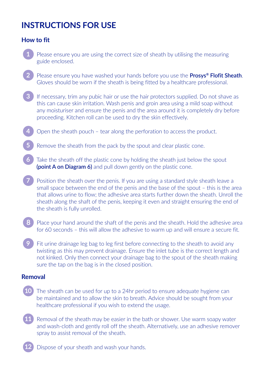# **INSTRUCTIONS FOR USE**

## **How to fit**

- **1** Please ensure you are using the correct size of sheath by utilising the measuring guide enclosed.
- **2** Please ensure you have washed your hands before you use the **Prosys® Flofit Sheath**. Gloves should be worn if the sheath is being fitted by a healthcare professional.
- **3** If necessary, trim any pubic hair or use the hair protectors supplied. Do not shave as this can cause skin irritation. Wash penis and groin area using a mild soap without any moisturiser and ensure the penis and the area around it is completely dry before proceeding. Kitchen roll can be used to dry the skin effectively.
- **4** Open the sheath pouch tear along the perforation to access the product.
- **5** Remove the sheath from the pack by the spout and clear plastic cone.
- Take the sheath off the plastic cone by holding the sheath just below the spout **(point A on Diagram 6)** and pull down gently on the plastic cone.
- **7** Position the sheath over the penis. If you are using a standard style sheath leave a small space between the end of the penis and the base of the spout – this is the area that allows urine to flow; the adhesive area starts further down the sheath. Unroll the sheath along the shaft of the penis, keeping it even and straight ensuring the end of the sheath is fully unrolled.
- **8** Place your hand around the shaft of the penis and the sheath. Hold the adhesive area for 60 seconds – this will allow the adhesive to warm up and will ensure a secure fit.
- **9** Fit urine drainage leg bag to leg first before connecting to the sheath to avoid any twisting as this may prevent drainage. Ensure the inlet tube is the correct length and not kinked. Only then connect your drainage bag to the spout of the sheath making sure the tap on the bag is in the closed position.

#### **Removal**

- **10** The sheath can be used for up to a 24hr period to ensure adequate hygiene can be maintained and to allow the skin to breath. Advice should be sought from your healthcare professional if you wish to extend the usage.
- **11** Removal of the sheath may be easier in the bath or shower. Use warm soapy water and wash-cloth and gently roll off the sheath. Alternatively, use an adhesive remover spray to assist removal of the sheath.
- **12** Dispose of your sheath and wash your hands.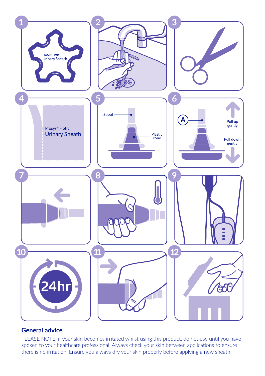

## **General advice**

PLEASE NOTE: if your skin becomes irritated whilst using this product, do not use until you have spoken to your healthcare professional. Always check your skin between applications to ensure there is no irritation. Ensure you always dry your skin properly before applying a new sheath.